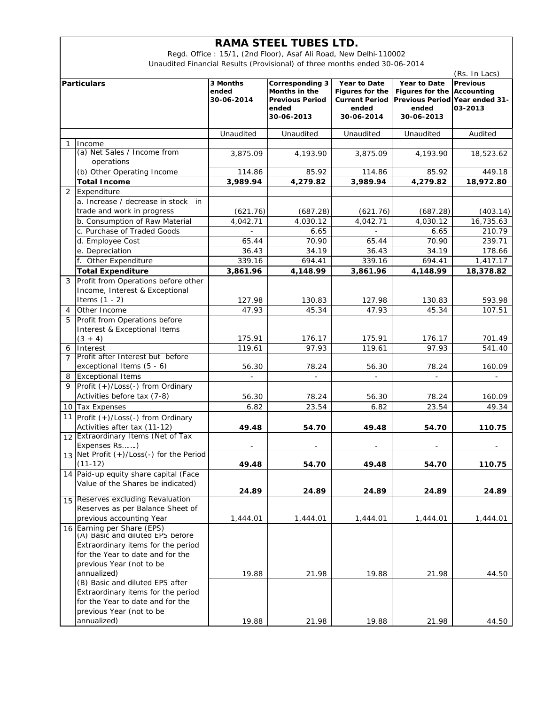## **RAMA STEEL TUBES LTD.**

Regd. Office : 15/1, (2nd Floor), Asaf Ali Road, New Delhi-110002 Unaudited Financial Results (Provisional) of three months ended 30-06-2014

|                    |                                                                    |                          |                          |                          |                                       | (Rs. In Lacs)   |
|--------------------|--------------------------------------------------------------------|--------------------------|--------------------------|--------------------------|---------------------------------------|-----------------|
| <b>Particulars</b> |                                                                    | 3 Months                 | Corresponding 3          | Year to Date             | Year to Date                          | <b>Previous</b> |
|                    |                                                                    | ended                    | Months in the            | <b>Figures for the</b>   | <b>Figures for the</b>                | Accounting      |
|                    |                                                                    | 30-06-2014               | <b>Previous Period</b>   | <b>Current Period</b>    | <b>Previous Period Year ended 31-</b> | 03-2013         |
|                    |                                                                    |                          | ended<br>30-06-2013      | ended<br>30-06-2014      | ended<br>30-06-2013                   |                 |
|                    |                                                                    |                          |                          |                          |                                       |                 |
|                    |                                                                    | Unaudited                | Unaudited                | Unaudited                | Unaudited                             | Audited         |
| 1                  | Income                                                             |                          |                          |                          |                                       |                 |
|                    | (a) Net Sales / Income from                                        | 3,875.09                 | 4,193.90                 | 3,875.09                 | 4,193.90                              | 18,523.62       |
|                    | operations                                                         |                          |                          |                          |                                       |                 |
|                    | (b) Other Operating Income                                         | 114.86                   | 85.92                    | 114.86                   | 85.92                                 | 449.18          |
|                    | <b>Total Income</b>                                                | 3,989.94                 | 4,279.82                 | 3,989.94                 | $\overline{4,}279.82$                 | 18,972.80       |
| 2                  | Expenditure                                                        |                          |                          |                          |                                       |                 |
|                    | a. Increase / decrease in stock in                                 |                          |                          |                          |                                       |                 |
|                    | trade and work in progress                                         | (621.76)                 | (687.28)                 | (621.76)                 | (687.28)                              | (403.14)        |
|                    | b. Consumption of Raw Material                                     | 4,042.71                 | 4,030.12                 | 4,042.71                 | 4,030.12                              | 16,735.63       |
|                    | c. Purchase of Traded Goods                                        | $\blacksquare$           | 6.65                     | $\equiv$                 | 6.65                                  | 210.79          |
|                    | d. Employee Cost                                                   | 65.44                    | 70.90                    | 65.44                    | 70.90                                 | 239.71          |
|                    | e. Depreciation                                                    | 36.43                    | 34.19                    | 36.43                    | 34.19                                 | 178.66          |
|                    | f. Other Expenditure                                               | 339.16                   | 694.41                   | 339.16                   | 694.41                                | 1,417.17        |
|                    | <b>Total Expenditure</b>                                           | 3,861.96                 | 4,148.99                 | 3,861.96                 | 4,148.99                              | 18,378.82       |
| 3                  | Profit from Operations before other                                |                          |                          |                          |                                       |                 |
|                    | Income, Interest & Exceptional                                     |                          |                          |                          |                                       |                 |
|                    | Items $(1 - 2)$                                                    | 127.98                   | 130.83                   | 127.98                   | 130.83                                | 593.98          |
| 4                  | Other Income                                                       | 47.93                    | 45.34                    | 47.93                    | 45.34                                 | 107.51          |
| 5                  | Profit from Operations before                                      |                          |                          |                          |                                       |                 |
|                    |                                                                    |                          |                          |                          |                                       |                 |
|                    | Interest & Exceptional Items<br>$(3 + 4)$                          | 175.91                   | 176.17                   | 175.91                   | 176.17                                | 701.49          |
| 6                  | Interest                                                           | 119.61                   | 97.93                    | 119.61                   | 97.93                                 | 541.40          |
| $\overline{7}$     | Profit after Interest but before                                   |                          |                          |                          |                                       |                 |
|                    | exceptional Items (5 - 6)                                          | 56.30                    | 78.24                    | 56.30                    | 78.24                                 | 160.09          |
| 8                  | <b>Exceptional Items</b>                                           | $\overline{\phantom{a}}$ | $\overline{\phantom{a}}$ | $\overline{\phantom{a}}$ | $\blacksquare$                        |                 |
| 9                  | Profit (+)/Loss(-) from Ordinary                                   |                          |                          |                          |                                       |                 |
|                    | Activities before tax (7-8)                                        | 56.30                    | 78.24                    | 56.30                    | 78.24                                 | 160.09          |
|                    | 10 Tax Expenses                                                    | 6.82                     | 23.54                    | 6.82                     | 23.54                                 | 49.34           |
|                    |                                                                    |                          |                          |                          |                                       |                 |
|                    | 11 Profit (+)/Loss(-) from Ordinary                                |                          |                          |                          |                                       |                 |
|                    | Activities after tax (11-12)<br>12 Extraordinary Items (Net of Tax | 49.48                    | 54.70                    | 49.48                    | 54.70                                 | 110.75          |
|                    | Expenses Rs)                                                       |                          |                          |                          |                                       |                 |
|                    | 13 Net Profit (+)/Loss(-) for the Period                           | $\overline{\phantom{a}}$ | $\overline{\phantom{a}}$ | $\overline{\phantom{a}}$ | $\overline{\phantom{a}}$              |                 |
|                    | $(11-12)$                                                          | 49.48                    | 54.70                    | 49.48                    | 54.70                                 | 110.75          |
|                    | 14 Paid-up equity share capital (Face                              |                          |                          |                          |                                       |                 |
|                    | Value of the Shares be indicated)                                  |                          |                          |                          |                                       |                 |
|                    |                                                                    | 24.89                    | 24.89                    | 24.89                    | 24.89                                 | 24.89           |
| 15                 | Reserves excluding Revaluation                                     |                          |                          |                          |                                       |                 |
|                    | Reserves as per Balance Sheet of                                   |                          |                          |                          |                                       |                 |
|                    | previous accounting Year                                           | 1,444.01                 | 1,444.01                 | 1,444.01                 | 1,444.01                              | 1,444.01        |
|                    | 16 Earning per Share (EPS)                                         |                          |                          |                          |                                       |                 |
|                    | (A) Basic and diluted LPS before                                   |                          |                          |                          |                                       |                 |
|                    | Extraordinary items for the period                                 |                          |                          |                          |                                       |                 |
|                    | for the Year to date and for the                                   |                          |                          |                          |                                       |                 |
|                    | previous Year (not to be                                           |                          |                          |                          |                                       |                 |
|                    | annualized)                                                        | 19.88                    | 21.98                    | 19.88                    | 21.98                                 | 44.50           |
|                    | (B) Basic and diluted EPS after                                    |                          |                          |                          |                                       |                 |
|                    | Extraordinary items for the period                                 |                          |                          |                          |                                       |                 |
|                    | for the Year to date and for the                                   |                          |                          |                          |                                       |                 |
|                    | previous Year (not to be                                           |                          |                          |                          |                                       |                 |
|                    | annualized)                                                        | 19.88                    | 21.98                    | 19.88                    | 21.98                                 | 44.50           |